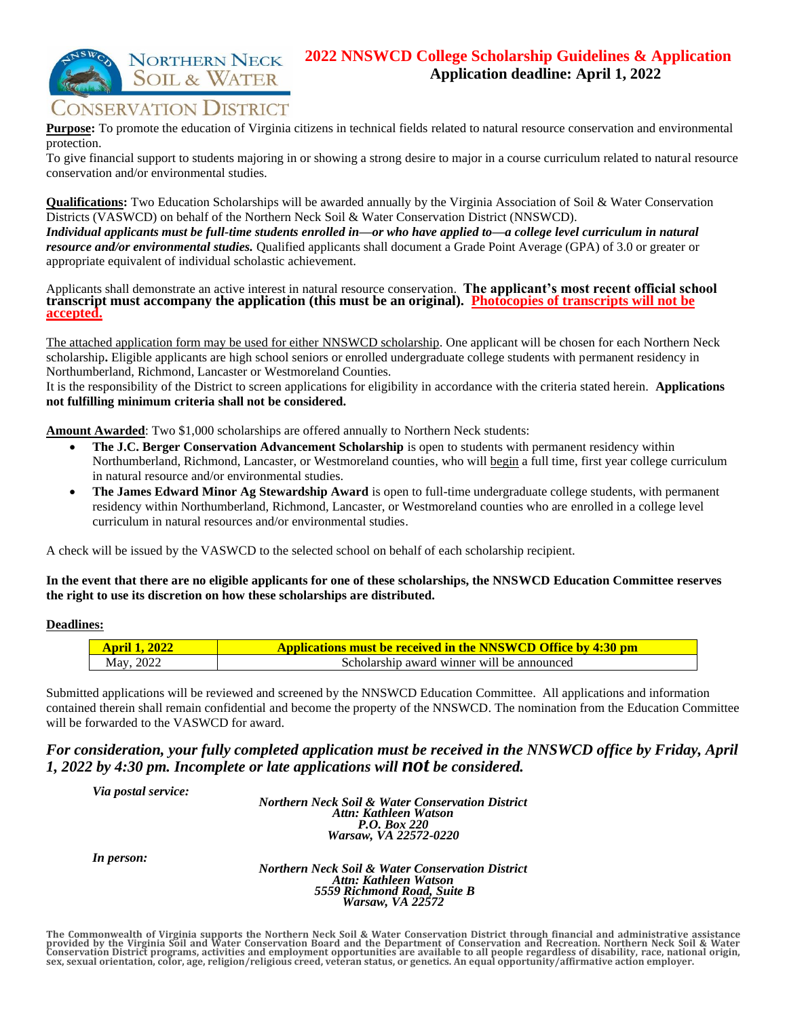### **2022 NNSWCD College Scholarship Guidelines & Application Application deadline: April 1, 2022**

# CONSERVATION DISTRICT

**NORTHERN NECK SOIL & WATER** 

**Purpose:** To promote the education of Virginia citizens in technical fields related to natural resource conservation and environmental protection.

To give financial support to students majoring in or showing a strong desire to major in a course curriculum related to natural resource conservation and/or environmental studies.

**Qualifications:** Two Education Scholarships will be awarded annually by the Virginia Association of Soil & Water Conservation Districts (VASWCD) on behalf of the Northern Neck Soil & Water Conservation District (NNSWCD).

*Individual applicants must be full-time students enrolled in—or who have applied to—a college level curriculum in natural resource and/or environmental studies.* Qualified applicants shall document a Grade Point Average (GPA) of 3.0 or greater or appropriate equivalent of individual scholastic achievement.

Applicants shall demonstrate an active interest in natural resource conservation. **The applicant's most recent official school transcript must accompany the application (this must be an original). Photocopies of transcripts will not be accepted.**

The attached application form may be used for either NNSWCD scholarship. One applicant will be chosen for each Northern Neck scholarship**.** Eligible applicants are high school seniors or enrolled undergraduate college students with permanent residency in Northumberland, Richmond, Lancaster or Westmoreland Counties.

It is the responsibility of the District to screen applications for eligibility in accordance with the criteria stated herein. **Applications not fulfilling minimum criteria shall not be considered.** 

**Amount Awarded**: Two \$1,000 scholarships are offered annually to Northern Neck students:

- **The J.C. Berger Conservation Advancement Scholarship** is open to students with permanent residency within Northumberland, Richmond, Lancaster, or Westmoreland counties, who will begin a full time, first year college curriculum in natural resource and/or environmental studies.
- **The James Edward Minor Ag Stewardship Award** is open to full-time undergraduate college students, with permanent residency within Northumberland, Richmond, Lancaster, or Westmoreland counties who are enrolled in a college level curriculum in natural resources and/or environmental studies.

A check will be issued by the VASWCD to the selected school on behalf of each scholarship recipient.

#### **In the event that there are no eligible applicants for one of these scholarships, the NNSWCD Education Committee reserves the right to use its discretion on how these scholarships are distributed.**

### **Deadlines:**

| <b>April 1, 2022</b> | <b>Applications must be received in the NNSWCD Office by 4:30 pm</b> |
|----------------------|----------------------------------------------------------------------|
| May, 2022            | Scholarship award winner will be announced                           |

Submitted applications will be reviewed and screened by the NNSWCD Education Committee. All applications and information contained therein shall remain confidential and become the property of the NNSWCD. The nomination from the Education Committee will be forwarded to the VASWCD for award.

### *For consideration, your fully completed application must be received in the NNSWCD office by Friday, April 1, 2022 by 4:30 pm. Incomplete or late applications will not be considered.*

*Via postal service:*

*Northern Neck Soil & Water Conservation District Attn: Kathleen Watson P.O. Box 220 Warsaw, VA 22572-0220*

*In person:* 

*Northern Neck Soil & Water Conservation District Attn: Kathleen Watson 5559 Richmond Road, Suite B Warsaw, VA 22572*

The Commonwealth of Virginia supports the Northern Neck Soil & Water Conservation District through financial and administrative assistance<br>provided by the Virginia Soil and Water Conservation Board and the Department of Co **sex, sexual orientation, color, age, religion/religious creed, veteran status, or genetics. An equal opportunity/affirmative action employer.**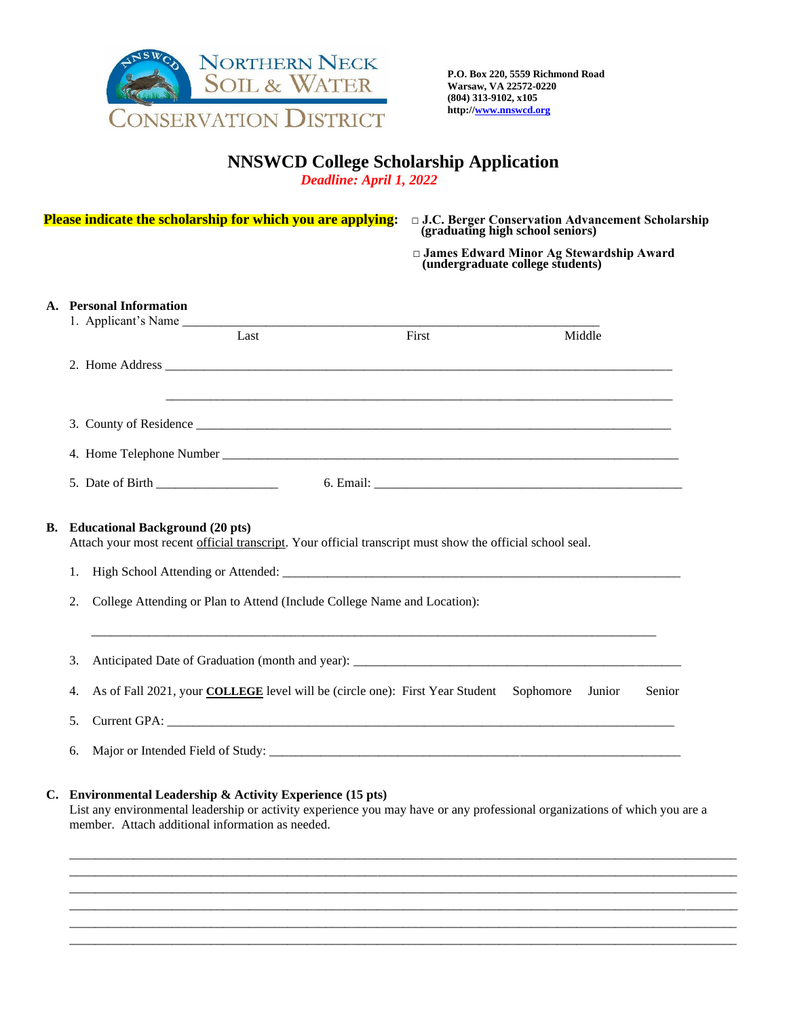

### **NNSWCD College Scholarship Application**

*Deadline: April 1, 2022* 

| Please indicate the scholarship for which you are applying: |                                                                                      |                                                                                                                                                                                                                                              | □ J.C. Berger Conservation Advancement Scholarship<br>(graduating high school seniors) |  |       |                                                                               |  |
|-------------------------------------------------------------|--------------------------------------------------------------------------------------|----------------------------------------------------------------------------------------------------------------------------------------------------------------------------------------------------------------------------------------------|----------------------------------------------------------------------------------------|--|-------|-------------------------------------------------------------------------------|--|
|                                                             |                                                                                      |                                                                                                                                                                                                                                              |                                                                                        |  |       | □ James Edward Minor Ag Stewardship Award<br>(undergraduate college students) |  |
|                                                             |                                                                                      | A. Personal Information                                                                                                                                                                                                                      |                                                                                        |  |       |                                                                               |  |
|                                                             |                                                                                      |                                                                                                                                                                                                                                              | Last                                                                                   |  | First | Middle                                                                        |  |
|                                                             |                                                                                      |                                                                                                                                                                                                                                              |                                                                                        |  |       |                                                                               |  |
|                                                             |                                                                                      |                                                                                                                                                                                                                                              |                                                                                        |  |       |                                                                               |  |
|                                                             |                                                                                      |                                                                                                                                                                                                                                              |                                                                                        |  |       |                                                                               |  |
|                                                             |                                                                                      |                                                                                                                                                                                                                                              |                                                                                        |  |       |                                                                               |  |
|                                                             | 1.<br>College Attending or Plan to Attend (Include College Name and Location):<br>2. |                                                                                                                                                                                                                                              |                                                                                        |  |       |                                                                               |  |
|                                                             |                                                                                      |                                                                                                                                                                                                                                              |                                                                                        |  |       |                                                                               |  |
|                                                             | 3.                                                                                   |                                                                                                                                                                                                                                              |                                                                                        |  |       |                                                                               |  |
|                                                             | 4.                                                                                   | As of Fall 2021, your <b>COLLEGE</b> level will be (circle one): First Year Student Sophomore                                                                                                                                                |                                                                                        |  |       | Junior<br>Senior                                                              |  |
|                                                             | 5.                                                                                   |                                                                                                                                                                                                                                              |                                                                                        |  |       |                                                                               |  |
|                                                             | 6.                                                                                   |                                                                                                                                                                                                                                              |                                                                                        |  |       |                                                                               |  |
|                                                             |                                                                                      | C. Environmental Leadership & Activity Experience (15 pts)<br>List any environmental leadership or activity experience you may have or any professional organizations of which you are a<br>member. Attach additional information as needed. |                                                                                        |  |       |                                                                               |  |
|                                                             |                                                                                      |                                                                                                                                                                                                                                              |                                                                                        |  |       |                                                                               |  |
|                                                             |                                                                                      |                                                                                                                                                                                                                                              |                                                                                        |  |       |                                                                               |  |
|                                                             |                                                                                      |                                                                                                                                                                                                                                              |                                                                                        |  |       |                                                                               |  |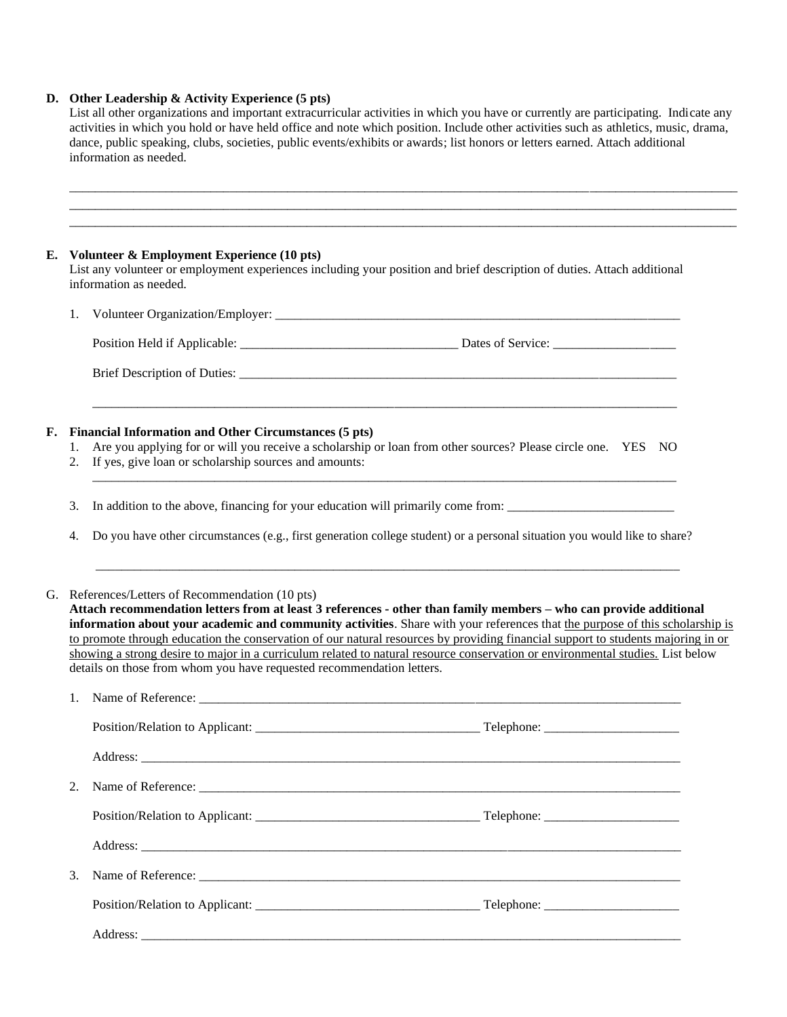#### **D. Other Leadership & Activity Experience (5 pts)**

|    | information as needed.                                                                                                                                                                                                                | List all other organizations and important extracurricular activities in which you have or currently are participating. Indicate any<br>activities in which you hold or have held office and note which position. Include other activities such as athletics, music, drama,<br>dance, public speaking, clubs, societies, public events/exhibits or awards; list honors or letters earned. Attach additional |  |  |  |  |
|----|---------------------------------------------------------------------------------------------------------------------------------------------------------------------------------------------------------------------------------------|-------------------------------------------------------------------------------------------------------------------------------------------------------------------------------------------------------------------------------------------------------------------------------------------------------------------------------------------------------------------------------------------------------------|--|--|--|--|
|    |                                                                                                                                                                                                                                       |                                                                                                                                                                                                                                                                                                                                                                                                             |  |  |  |  |
|    | Volunteer & Employment Experience (10 pts)<br>information as needed.                                                                                                                                                                  | List any volunteer or employment experiences including your position and brief description of duties. Attach additional                                                                                                                                                                                                                                                                                     |  |  |  |  |
| 1. |                                                                                                                                                                                                                                       |                                                                                                                                                                                                                                                                                                                                                                                                             |  |  |  |  |
|    |                                                                                                                                                                                                                                       |                                                                                                                                                                                                                                                                                                                                                                                                             |  |  |  |  |
|    |                                                                                                                                                                                                                                       |                                                                                                                                                                                                                                                                                                                                                                                                             |  |  |  |  |
| 1. | <b>Financial Information and Other Circumstances (5 pts)</b><br>Are you applying for or will you receive a scholarship or loan from other sources? Please circle one. YES NO<br>If yes, give loan or scholarship sources and amounts: |                                                                                                                                                                                                                                                                                                                                                                                                             |  |  |  |  |
| 3. |                                                                                                                                                                                                                                       | In addition to the above, financing for your education will primarily come from:                                                                                                                                                                                                                                                                                                                            |  |  |  |  |
| 4. |                                                                                                                                                                                                                                       | Do you have other circumstances (e.g., first generation college student) or a personal situation you would like to share?                                                                                                                                                                                                                                                                                   |  |  |  |  |
|    | G. References/Letters of Recommendation (10 pts)                                                                                                                                                                                      | Attach recommendation letters from at least 3 references - other than family members - who can provide additional<br>information about your academic and community activities. Share with your references that the purpose of this scholarship is<br>to promote through education the conservation of our natural resources by providing financial support to students majoring in or                       |  |  |  |  |
|    | details on those from whom you have requested recommendation letters.                                                                                                                                                                 | showing a strong desire to major in a curriculum related to natural resource conservation or environmental studies. List below                                                                                                                                                                                                                                                                              |  |  |  |  |
| 1. |                                                                                                                                                                                                                                       | Name of Reference:                                                                                                                                                                                                                                                                                                                                                                                          |  |  |  |  |
|    |                                                                                                                                                                                                                                       |                                                                                                                                                                                                                                                                                                                                                                                                             |  |  |  |  |
|    |                                                                                                                                                                                                                                       |                                                                                                                                                                                                                                                                                                                                                                                                             |  |  |  |  |
| 2. |                                                                                                                                                                                                                                       |                                                                                                                                                                                                                                                                                                                                                                                                             |  |  |  |  |
|    |                                                                                                                                                                                                                                       |                                                                                                                                                                                                                                                                                                                                                                                                             |  |  |  |  |
|    |                                                                                                                                                                                                                                       |                                                                                                                                                                                                                                                                                                                                                                                                             |  |  |  |  |
| 3. |                                                                                                                                                                                                                                       |                                                                                                                                                                                                                                                                                                                                                                                                             |  |  |  |  |
|    |                                                                                                                                                                                                                                       |                                                                                                                                                                                                                                                                                                                                                                                                             |  |  |  |  |
|    |                                                                                                                                                                                                                                       |                                                                                                                                                                                                                                                                                                                                                                                                             |  |  |  |  |